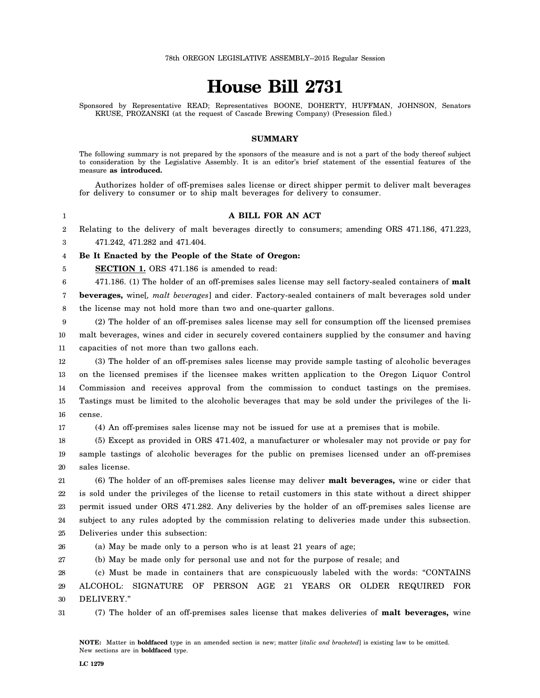# **House Bill 2731**

Sponsored by Representative READ; Representatives BOONE, DOHERTY, HUFFMAN, JOHNSON, Senators KRUSE, PROZANSKI (at the request of Cascade Brewing Company) (Presession filed.)

#### **SUMMARY**

The following summary is not prepared by the sponsors of the measure and is not a part of the body thereof subject to consideration by the Legislative Assembly. It is an editor's brief statement of the essential features of the measure **as introduced.**

Authorizes holder of off-premises sales license or direct shipper permit to deliver malt beverages for delivery to consumer or to ship malt beverages for delivery to consumer.

#### **A BILL FOR AN ACT**

2 3 Relating to the delivery of malt beverages directly to consumers; amending ORS 471.186, 471.223, 471.242, 471.282 and 471.404.

4 **Be It Enacted by the People of the State of Oregon:**

**SECTION 1.** ORS 471.186 is amended to read:

6 471.186. (1) The holder of an off-premises sales license may sell factory-sealed containers of **malt**

7 8 **beverages,** wine[*, malt beverages*] and cider. Factory-sealed containers of malt beverages sold under the license may not hold more than two and one-quarter gallons.

9 10 11 (2) The holder of an off-premises sales license may sell for consumption off the licensed premises malt beverages, wines and cider in securely covered containers supplied by the consumer and having capacities of not more than two gallons each.

12 13 14 15 16 (3) The holder of an off-premises sales license may provide sample tasting of alcoholic beverages on the licensed premises if the licensee makes written application to the Oregon Liquor Control Commission and receives approval from the commission to conduct tastings on the premises. Tastings must be limited to the alcoholic beverages that may be sold under the privileges of the license.

17 (4) An off-premises sales license may not be issued for use at a premises that is mobile.

18 19 20 (5) Except as provided in ORS 471.402, a manufacturer or wholesaler may not provide or pay for sample tastings of alcoholic beverages for the public on premises licensed under an off-premises sales license.

21 22 23 24 25 (6) The holder of an off-premises sales license may deliver **malt beverages,** wine or cider that is sold under the privileges of the license to retail customers in this state without a direct shipper permit issued under ORS 471.282. Any deliveries by the holder of an off-premises sales license are subject to any rules adopted by the commission relating to deliveries made under this subsection. Deliveries under this subsection:

26 (a) May be made only to a person who is at least 21 years of age;

27 (b) May be made only for personal use and not for the purpose of resale; and

28 29 30 (c) Must be made in containers that are conspicuously labeled with the words: "CONTAINS ALCOHOL: SIGNATURE OF PERSON AGE 21 YEARS OR OLDER REQUIRED FOR DELIVERY."

31 (7) The holder of an off-premises sales license that makes deliveries of **malt beverages,** wine

1

5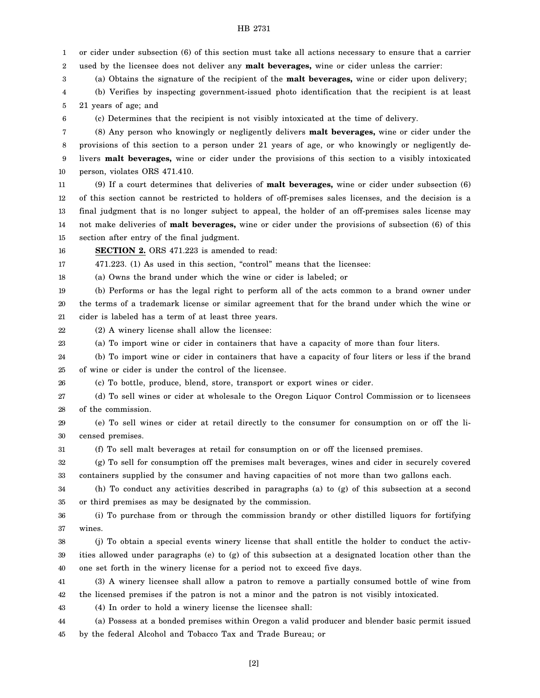1 2 3 4 5 6 7 8 9 10 11 12 13 14 15 16 17 18 19 20 21 22 23 24 25 26 27 28 29 30 31 32 33 34 35 36 37 38 39 40 41 42 43 44 45 or cider under subsection (6) of this section must take all actions necessary to ensure that a carrier used by the licensee does not deliver any **malt beverages,** wine or cider unless the carrier: (a) Obtains the signature of the recipient of the **malt beverages,** wine or cider upon delivery; (b) Verifies by inspecting government-issued photo identification that the recipient is at least 21 years of age; and (c) Determines that the recipient is not visibly intoxicated at the time of delivery. (8) Any person who knowingly or negligently delivers **malt beverages,** wine or cider under the provisions of this section to a person under 21 years of age, or who knowingly or negligently delivers **malt beverages,** wine or cider under the provisions of this section to a visibly intoxicated person, violates ORS 471.410. (9) If a court determines that deliveries of **malt beverages,** wine or cider under subsection (6) of this section cannot be restricted to holders of off-premises sales licenses, and the decision is a final judgment that is no longer subject to appeal, the holder of an off-premises sales license may not make deliveries of **malt beverages,** wine or cider under the provisions of subsection (6) of this section after entry of the final judgment. **SECTION 2.** ORS 471.223 is amended to read: 471.223. (1) As used in this section, "control" means that the licensee: (a) Owns the brand under which the wine or cider is labeled; or (b) Performs or has the legal right to perform all of the acts common to a brand owner under the terms of a trademark license or similar agreement that for the brand under which the wine or cider is labeled has a term of at least three years. (2) A winery license shall allow the licensee: (a) To import wine or cider in containers that have a capacity of more than four liters. (b) To import wine or cider in containers that have a capacity of four liters or less if the brand of wine or cider is under the control of the licensee. (c) To bottle, produce, blend, store, transport or export wines or cider. (d) To sell wines or cider at wholesale to the Oregon Liquor Control Commission or to licensees of the commission. (e) To sell wines or cider at retail directly to the consumer for consumption on or off the licensed premises. (f) To sell malt beverages at retail for consumption on or off the licensed premises. (g) To sell for consumption off the premises malt beverages, wines and cider in securely covered containers supplied by the consumer and having capacities of not more than two gallons each. (h) To conduct any activities described in paragraphs (a) to (g) of this subsection at a second or third premises as may be designated by the commission. (i) To purchase from or through the commission brandy or other distilled liquors for fortifying wines. (j) To obtain a special events winery license that shall entitle the holder to conduct the activities allowed under paragraphs (e) to (g) of this subsection at a designated location other than the one set forth in the winery license for a period not to exceed five days. (3) A winery licensee shall allow a patron to remove a partially consumed bottle of wine from the licensed premises if the patron is not a minor and the patron is not visibly intoxicated. (4) In order to hold a winery license the licensee shall: (a) Possess at a bonded premises within Oregon a valid producer and blender basic permit issued by the federal Alcohol and Tobacco Tax and Trade Bureau; or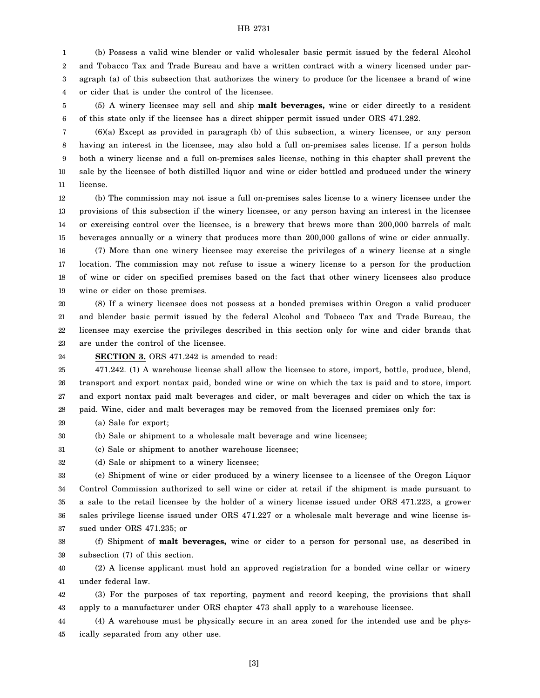1 2 3 4 (b) Possess a valid wine blender or valid wholesaler basic permit issued by the federal Alcohol and Tobacco Tax and Trade Bureau and have a written contract with a winery licensed under paragraph (a) of this subsection that authorizes the winery to produce for the licensee a brand of wine or cider that is under the control of the licensee.

5 6 (5) A winery licensee may sell and ship **malt beverages,** wine or cider directly to a resident of this state only if the licensee has a direct shipper permit issued under ORS 471.282.

7 8 9 10 11 (6)(a) Except as provided in paragraph (b) of this subsection, a winery licensee, or any person having an interest in the licensee, may also hold a full on-premises sales license. If a person holds both a winery license and a full on-premises sales license, nothing in this chapter shall prevent the sale by the licensee of both distilled liquor and wine or cider bottled and produced under the winery license.

12 13 14 15 (b) The commission may not issue a full on-premises sales license to a winery licensee under the provisions of this subsection if the winery licensee, or any person having an interest in the licensee or exercising control over the licensee, is a brewery that brews more than 200,000 barrels of malt beverages annually or a winery that produces more than 200,000 gallons of wine or cider annually.

16 17 18 19 (7) More than one winery licensee may exercise the privileges of a winery license at a single location. The commission may not refuse to issue a winery license to a person for the production of wine or cider on specified premises based on the fact that other winery licensees also produce wine or cider on those premises.

20 21 22 23 (8) If a winery licensee does not possess at a bonded premises within Oregon a valid producer and blender basic permit issued by the federal Alcohol and Tobacco Tax and Trade Bureau, the licensee may exercise the privileges described in this section only for wine and cider brands that are under the control of the licensee.

24 **SECTION 3.** ORS 471.242 is amended to read:

25 26 27 28 471.242. (1) A warehouse license shall allow the licensee to store, import, bottle, produce, blend, transport and export nontax paid, bonded wine or wine on which the tax is paid and to store, import and export nontax paid malt beverages and cider, or malt beverages and cider on which the tax is paid. Wine, cider and malt beverages may be removed from the licensed premises only for:

29 (a) Sale for export;

30 (b) Sale or shipment to a wholesale malt beverage and wine licensee;

31 (c) Sale or shipment to another warehouse licensee;

32 (d) Sale or shipment to a winery licensee;

33 34 35 36 37 (e) Shipment of wine or cider produced by a winery licensee to a licensee of the Oregon Liquor Control Commission authorized to sell wine or cider at retail if the shipment is made pursuant to a sale to the retail licensee by the holder of a winery license issued under ORS 471.223, a grower sales privilege license issued under ORS 471.227 or a wholesale malt beverage and wine license issued under ORS 471.235; or

38 39 (f) Shipment of **malt beverages,** wine or cider to a person for personal use, as described in subsection (7) of this section.

40 41 (2) A license applicant must hold an approved registration for a bonded wine cellar or winery under federal law.

42 43 (3) For the purposes of tax reporting, payment and record keeping, the provisions that shall apply to a manufacturer under ORS chapter 473 shall apply to a warehouse licensee.

44 45 (4) A warehouse must be physically secure in an area zoned for the intended use and be physically separated from any other use.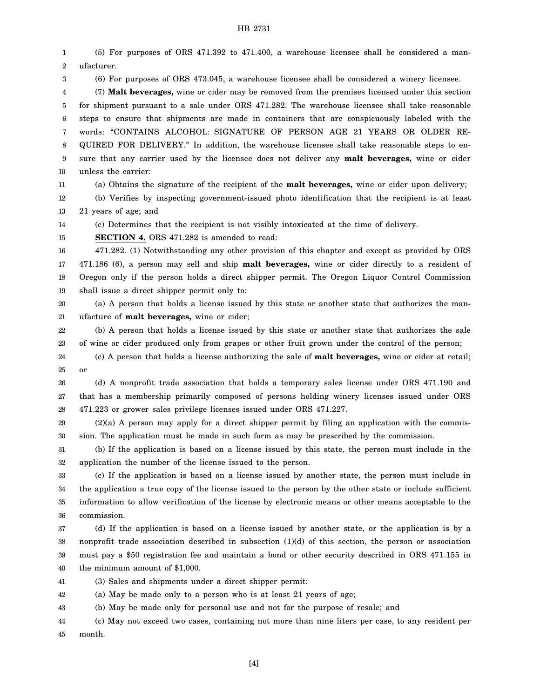1 2 3 4 5 6 7 8 9 10 11 12 13 14 15 16 17 18 19 20 21 22 23 24 25 26 27 28 29 30 31 32 33 34 35 36 37 38 39 40 41 42 43 44 45 (5) For purposes of ORS 471.392 to 471.400, a warehouse licensee shall be considered a manufacturer. (6) For purposes of ORS 473.045, a warehouse licensee shall be considered a winery licensee. (7) **Malt beverages,** wine or cider may be removed from the premises licensed under this section for shipment pursuant to a sale under ORS 471.282. The warehouse licensee shall take reasonable steps to ensure that shipments are made in containers that are conspicuously labeled with the words: "CONTAINS ALCOHOL: SIGNATURE OF PERSON AGE 21 YEARS OR OLDER RE-QUIRED FOR DELIVERY." In addition, the warehouse licensee shall take reasonable steps to ensure that any carrier used by the licensee does not deliver any **malt beverages,** wine or cider unless the carrier: (a) Obtains the signature of the recipient of the **malt beverages,** wine or cider upon delivery; (b) Verifies by inspecting government-issued photo identification that the recipient is at least 21 years of age; and (c) Determines that the recipient is not visibly intoxicated at the time of delivery. **SECTION 4.** ORS 471.282 is amended to read: 471.282. (1) Notwithstanding any other provision of this chapter and except as provided by ORS 471.186 (6), a person may sell and ship **malt beverages,** wine or cider directly to a resident of Oregon only if the person holds a direct shipper permit. The Oregon Liquor Control Commission shall issue a direct shipper permit only to: (a) A person that holds a license issued by this state or another state that authorizes the manufacture of **malt beverages,** wine or cider; (b) A person that holds a license issued by this state or another state that authorizes the sale of wine or cider produced only from grapes or other fruit grown under the control of the person; (c) A person that holds a license authorizing the sale of **malt beverages,** wine or cider at retail; or (d) A nonprofit trade association that holds a temporary sales license under ORS 471.190 and that has a membership primarily composed of persons holding winery licenses issued under ORS 471.223 or grower sales privilege licenses issued under ORS 471.227.  $(2)(a)$  A person may apply for a direct shipper permit by filing an application with the commission. The application must be made in such form as may be prescribed by the commission. (b) If the application is based on a license issued by this state, the person must include in the application the number of the license issued to the person. (c) If the application is based on a license issued by another state, the person must include in the application a true copy of the license issued to the person by the other state or include sufficient information to allow verification of the license by electronic means or other means acceptable to the commission. (d) If the application is based on a license issued by another state, or the application is by a nonprofit trade association described in subsection (1)(d) of this section, the person or association must pay a \$50 registration fee and maintain a bond or other security described in ORS 471.155 in the minimum amount of \$1,000. (3) Sales and shipments under a direct shipper permit: (a) May be made only to a person who is at least 21 years of age; (b) May be made only for personal use and not for the purpose of resale; and (c) May not exceed two cases, containing not more than nine liters per case, to any resident per month.

[4]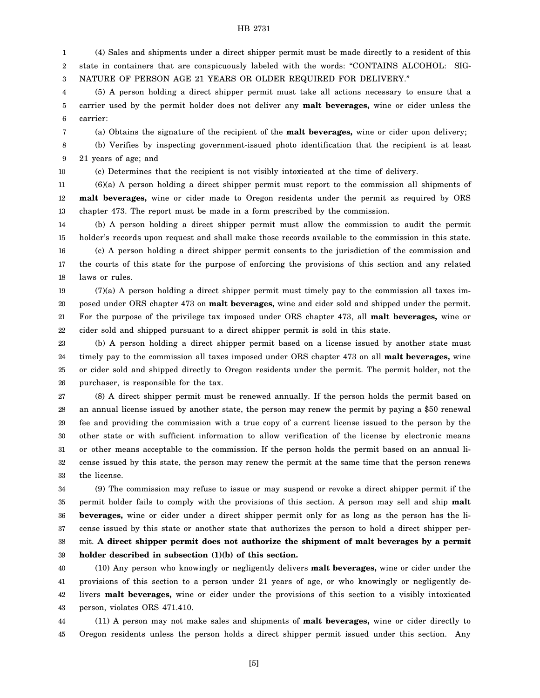1 2 3 (4) Sales and shipments under a direct shipper permit must be made directly to a resident of this state in containers that are conspicuously labeled with the words: "CONTAINS ALCOHOL: SIG-NATURE OF PERSON AGE 21 YEARS OR OLDER REQUIRED FOR DELIVERY."

4 5 6 (5) A person holding a direct shipper permit must take all actions necessary to ensure that a carrier used by the permit holder does not deliver any **malt beverages,** wine or cider unless the carrier:

(a) Obtains the signature of the recipient of the **malt beverages,** wine or cider upon delivery;

8 9 (b) Verifies by inspecting government-issued photo identification that the recipient is at least 21 years of age; and

10

7

(c) Determines that the recipient is not visibly intoxicated at the time of delivery.

11 12 13 (6)(a) A person holding a direct shipper permit must report to the commission all shipments of **malt beverages,** wine or cider made to Oregon residents under the permit as required by ORS chapter 473. The report must be made in a form prescribed by the commission.

14 15 16 (b) A person holding a direct shipper permit must allow the commission to audit the permit holder's records upon request and shall make those records available to the commission in this state. (c) A person holding a direct shipper permit consents to the jurisdiction of the commission and

17 18 the courts of this state for the purpose of enforcing the provisions of this section and any related laws or rules.

19 20 21 22 (7)(a) A person holding a direct shipper permit must timely pay to the commission all taxes imposed under ORS chapter 473 on **malt beverages,** wine and cider sold and shipped under the permit. For the purpose of the privilege tax imposed under ORS chapter 473, all **malt beverages,** wine or cider sold and shipped pursuant to a direct shipper permit is sold in this state.

23 24 25 26 (b) A person holding a direct shipper permit based on a license issued by another state must timely pay to the commission all taxes imposed under ORS chapter 473 on all **malt beverages,** wine or cider sold and shipped directly to Oregon residents under the permit. The permit holder, not the purchaser, is responsible for the tax.

27 28 29 30 31 32 33 (8) A direct shipper permit must be renewed annually. If the person holds the permit based on an annual license issued by another state, the person may renew the permit by paying a \$50 renewal fee and providing the commission with a true copy of a current license issued to the person by the other state or with sufficient information to allow verification of the license by electronic means or other means acceptable to the commission. If the person holds the permit based on an annual license issued by this state, the person may renew the permit at the same time that the person renews the license.

34 35 36 37 38 39 (9) The commission may refuse to issue or may suspend or revoke a direct shipper permit if the permit holder fails to comply with the provisions of this section. A person may sell and ship **malt beverages,** wine or cider under a direct shipper permit only for as long as the person has the license issued by this state or another state that authorizes the person to hold a direct shipper permit. **A direct shipper permit does not authorize the shipment of malt beverages by a permit holder described in subsection (1)(b) of this section.**

40 41 42 43 (10) Any person who knowingly or negligently delivers **malt beverages,** wine or cider under the provisions of this section to a person under 21 years of age, or who knowingly or negligently delivers **malt beverages,** wine or cider under the provisions of this section to a visibly intoxicated person, violates ORS 471.410.

44 45 (11) A person may not make sales and shipments of **malt beverages,** wine or cider directly to Oregon residents unless the person holds a direct shipper permit issued under this section. Any